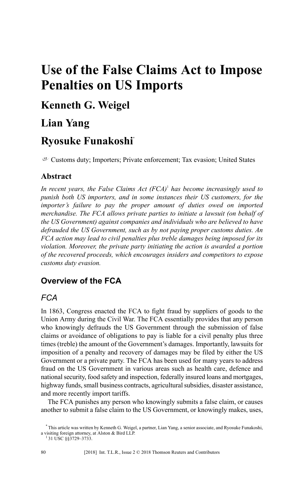# **Use of the False Claims Act to Impose Penalties on US Imports**

# **Kenneth G. Weigel**

# **Lian Yang**

# **Ryosuke Funakoshi\***

 $C<sup>U</sup>$  Customs duty; Importers; Private enforcement; Tax evasion; United States

### **Abstract**

*In recent years, the False Claims Act (FCA)*<sup>1</sup> *has become increasingly used to punish both US importers, and in some instances their US customers, for the importer's failure to pay the proper amount of duties owed on imported merchandise. The FCA allows private parties to initiate a lawsuit (on behalf of the US Government) against companies and individuals who are believed to have defrauded the US Government, such as by not paying proper customs duties. An FCA action may lead to civil penalties plus treble damages being imposed for its violation. Moreover, the private party initiating the action is awarded a portion of the recovered proceeds, which encourages insiders and competitors to expose customs duty evasion.*

## **Overview of the FCA**

### *FCA*

In 1863, Congress enacted the FCA to fight fraud by suppliers of goods to the Union Army during the Civil War. The FCA essentially provides that any person who knowingly defrauds the US Government through the submission of false claims or avoidance of obligations to pay is liable for a civil penalty plus three times (treble) the amount of the Government's damages. Importantly, lawsuits for imposition of a penalty and recovery of damages may be filed by either the US Government or a private party. The FCA has been used for many years to address fraud on the US Government in various areas such as health care, defence and national security, food safety and inspection, federally insured loans and mortgages, highway funds, small business contracts, agricultural subsidies, disaster assistance, and more recently import tariffs.

The FCA punishes any person who knowingly submits a false claim, or causes another to submit a false claim to the US Government, or knowingly makes, uses,

<sup>\*</sup> This article was written by Kenneth G. Weigel, a partner, Lian Yang, a senior associate, and Ryosuke Funakoshi, a visiting foreign attorney, at Alston & Bird LLP.

<sup>&</sup>lt;sup>1</sup> 31 USC §§3729-3733.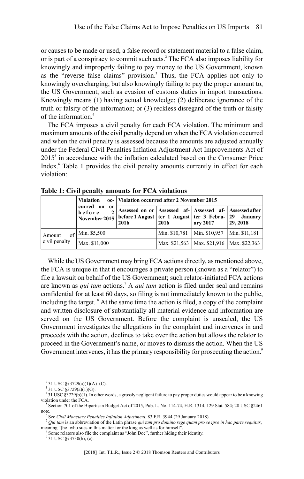or causes to be made or used, a false record or statement material to a false claim, or is part of a conspiracy to commit such acts.<sup>2</sup> The FCA also imposes liability for knowingly and improperly failing to pay money to the US Government, known as the "reverse false claims" provision.<sup>3</sup> Thus, the FCA applies not only to knowingly overcharging, but also knowingly failing to pay the proper amount to, the US Government, such as evasion of customs duties in import transactions. Knowingly means (1) having actual knowledge; (2) deliberate ignorance of the truth or falsity of the information; or (3) reckless disregard of the truth or falsity of the information  $4$ 

The FCA imposes a civil penalty for each FCA violation. The minimum and maximum amounts of the civil penalty depend on when the FCA violation occurred and when the civil penalty is assessed because the amounts are adjusted annually under the Federal Civil Penalties Inflation Adjustment Act Improvements Act of  $2015<sup>5</sup>$  in accordance with the inflation calculated based on the Consumer Price Index.<sup>6</sup> Table 1 provides the civil penalty amounts currently in effect for each violation:

|                                            | <b>Violation</b><br>curred on<br>or<br>before<br>November 2015 | oc-   Violation occurred after 2 November 2015                                                                                      |      |                                               |                                               |
|--------------------------------------------|----------------------------------------------------------------|-------------------------------------------------------------------------------------------------------------------------------------|------|-----------------------------------------------|-----------------------------------------------|
|                                            |                                                                | Assessed on or   Assessed af-   Assessed af-   Assessed after<br>before 1 August   ter 1 August   ter 3 Febru-   29 January<br>2016 | 2016 | ary 2017                                      | 29, 2018                                      |
| of <sup>1</sup><br>Amount<br>civil penalty | Min. \$5,500                                                   |                                                                                                                                     |      | Min. \$10,781   Min. \$10,957   Min. \$11,181 |                                               |
|                                            | Max. \$11,000                                                  |                                                                                                                                     |      |                                               | Max. \$21,563   Max. \$21,916   Max. \$22,363 |

**Table 1: Civil penalty amounts for FCA violations**

While the US Government may bring FCA actions directly, as mentioned above, the FCA is unique in that it encourages a private person (known as a "relator") to file a lawsuit on behalf of the US Government; such relator-initiated FCA actions are known as *qui tam* actions.<sup>7</sup> A *qui tam* action is filed under seal and remains confidential for at least 60 days, so filing is not immediately known to the public, including the target. <sup>8</sup> At the same time the action is filed, a copy of the complaint and written disclosure of substantially all material evidence and information are served on the US Government. Before the complaint is unsealed, the US Government investigates the allegations in the complaint and intervenes in and proceeds with the action, declines to take over the action but allows the relator to proceed in the Government's name, or moves to dismiss the action. When the US Government intervenes, it has the primary responsibility for prosecuting the action.<sup>9</sup>

 $2^{2}$ 31 USC §§3729(a)(1)(A)–(C).

 $3$  31 USC § 3729(a)(1)(G).

<sup>4</sup> 31 USC §3729(b)(1). In other words, a grossly negligent failure to pay proper duties would appear to be a knowing violation under the FCA.

 $5$  Section 701 of the Bipartisan Budget Act of 2015, Pub. L. No. 114-74, H.R. 1314, 129 Stat. 584; 28 USC  $\S 2461$ note.

<sup>6</sup> See *Civil Monetary Penalties Inflation Adjustment*, 83 F.R. 3944 (29 January 2018).

<sup>7</sup> *Qui tam* is an abbreviation of the Latin phrase *qui tam pro domino rege quam pro se ipso in hac parte sequitur*, meaning "[he] who sues in this matter for the king as well as for himself".

<sup>&</sup>lt;sup>8</sup> Some relators also file the complaint as "John Doe", further hiding their identity.

 $9$  31 USC §§3730(b), (c).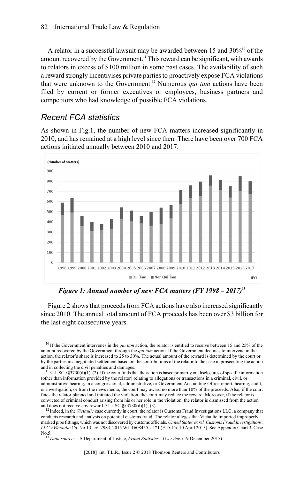A relator in a successful lawsuit may be awarded between 15 and  $30\%^{10}$  of the amount recovered by the Government.<sup>11</sup> This reward can be significant, with awards to relators in excess of \$100 million in some past cases. The availability of such a reward strongly incentivises private parties to proactively expose FCA violations that were unknown to the Government.<sup>12</sup> Numerous *qui tam* actions have been filed by current or former executives or employees, business partners and competitors who had knowledge of possible FCA violations.

#### *Recent FCA statistics*

As shown in Fig.1, the number of new FCA matters increased significantly in 2010, and has remained at a high level since then. There have been over 700 FCA actions initiated annually between 2010 and 2017.



*Figure 1: Annual number of new FCA matters (FY 1998 – 2017)***<sup>13</sup>**

Figure 2 shows that proceeds from FCA actions have also increased significantly since 2010. The annual total amount of FCA proceeds has been over \$3 billion for the last eight consecutive years.

<sup>10</sup> If the Government intervenes in the *qui tam* action, the relator is entitled to receive between 15 and 25% of the amount recovered by the Government through the *qui tam* action. If the Government declines to intervene in the action, the relator's share is increased to 25 to 30%. The actual amount of the reward is determined by the court or by the parties in a negotiated settlement based on the contributions of the relator to the case in prosecuting the action and in collecting the civil penalties and damages.

 $^{11}$  31 USC §§3730(d)(1), (2). If the court finds that the action is based primarily on disclosures of specific information (other than information provided by the relator) relating to allegations or transactions in a criminal, civil, or administrative hearing, in a congressional, administrative, or Government Accounting Office report, hearing, audit, or investigation, or from the news media, the court may award no more than 10% of the proceeds. Also, if the court finds the relator planned and initiated the violation, the court may reduce the reward. Moreover, if the relator is convicted of criminal conduct arising from his or her role in the violation, the relator is dismissed from the action and does not receive any reward. 31 USC  $\frac{\$3730(d)(1)}{6}$ , (3).

<sup>12</sup> Indeed, in the *Victaulic* case currently in court, the relator is Customs Fraud Investigations LLC, a company that conducts research and analysis on potential customs fraud. The relator alleges that Victaulic imported improperly marked pipe fittings, which was not discovered by customs officials. *United States ex rel. Customs Fraud Investigations, LLC v Victaulic Co*, No.13–cv–2983, 2015 WL 1608455, at \*1 (E.D. Pa. 10 April 2015). See Appendix Chart 3, Case  $N_0$  5

<sup>13</sup> *Data source:* US Department of Justice, *Fraud Statistics - Overview* (19 December 2017)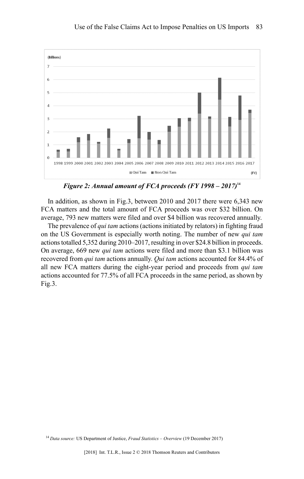

*Figure 2: Annual amount of FCA proceeds (FY 1998 – 2017)***<sup>14</sup>**

In addition, as shown in Fig.3, between 2010 and 2017 there were 6,343 new FCA matters and the total amount of FCA proceeds was over \$32 billion. On average, 793 new matters were filed and over \$4 billion was recovered annually.

The prevalence of *qui tam* actions (actions initiated by relators) in fighting fraud on the US Government is especially worth noting. The number of new *qui tam* actionstotalled 5,352 during 2010–2017, resulting in over \$24.8 billion in proceeds. On average, 669 new *qui tam* actions were filed and more than \$3.1 billion was recovered from *qui tam* actions annually. *Qui tam* actions accounted for 84.4% of all new FCA matters during the eight-year period and proceeds from *qui tam* actions accounted for 77.5% of all FCA proceeds in the same period, as shown by Fig.3.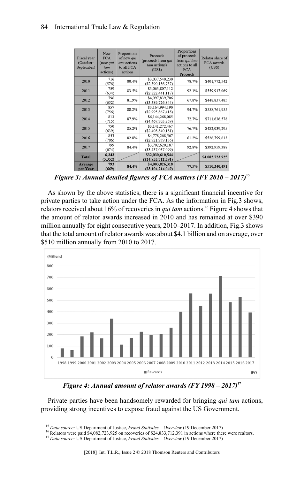#### 84 International Trade Law & Regulation

| <b>Fiscal</b> year<br>(October-<br>September) | New<br><b>FCA</b><br>(new qui<br>$t$ <i>am</i><br>actions) | Proportions<br>of new qui<br>tam actions<br>to all FCA<br>actions | Proceeds<br>(proceeds from qui<br>tam actions)<br>(US\$) | Proportions<br>of proceeds<br>from qui tam<br>actions to all<br><b>FCA</b><br>Proceeds | Relator share of<br>FCA awards<br>(USS) |
|-----------------------------------------------|------------------------------------------------------------|-------------------------------------------------------------------|----------------------------------------------------------|----------------------------------------------------------------------------------------|-----------------------------------------|
| 2010                                          | 716<br>(576)                                               | 80.4%                                                             | \$3,037,540,230<br>$(\$2,390,156,737)$                   | 78.7%                                                                                  | \$401,772,542                           |
| 2011                                          | 759<br>(634)                                               | 83.5%                                                             | \$3,063,807,112<br>$(\$2,822,441,117)$                   | 92.1%                                                                                  | \$559,917,069                           |
| 2012                                          | 796<br>(652)                                               | 81.9%                                                             | \$4,997,839,706<br>$(\$3,389,726,844)$                   | 67.8%                                                                                  | \$448,837,485                           |
| 2013                                          | 857<br>(756)                                               | 88.2%                                                             | \$3,164,994,190<br>$(\$2,995,867,418)$                   | 94.7%                                                                                  | \$558,761,955                           |
| 2014                                          | 813<br>(715)                                               | 87.9%                                                             | \$6,144,268,085<br>$(\$4,467,703,859)$                   | 72.7%                                                                                  | \$711,636,578                           |
| 2015                                          | 750<br>(639)                                               | 85.2%                                                             | \$3,141,272,467<br>$(\$2,408,840,181)$                   | 76.7%                                                                                  | \$482,039,295                           |
| 2016                                          | 853<br>(706)                                               | 82.8%                                                             | \$4,778,268,567<br>$(\$2,921,939,136)$                   | 61.2%                                                                                  | \$526,799,613                           |
| 2017                                          | 799<br>(674)                                               | 84.4%                                                             | \$3,702,620,187<br>$(\$3,437,037,099)$                   | 92.8%                                                                                  | \$392,959,388                           |
| <b>Total</b>                                  | 6,343<br>(5, 352)                                          |                                                                   | \$32,030,610,544<br>$(\$24, 833, 712, 391)$              |                                                                                        | \$4,082,723,925                         |
| Average<br>per Year                           | 793<br>(669)                                               | 84.4%                                                             | \$4,003,826,318<br>(S3.104.214.049)                      | 77.5%                                                                                  | \$510,340,491                           |

*Figure 3: Annual detailed figures of FCA matters (FY 2010 – 2017)***<sup>15</sup>**

As shown by the above statistics, there is a significant financial incentive for private parties to take action under the FCA. As the information in Fig.3 shows, relators received about 16% of recoveries in *qui tam* actions.<sup>16</sup> Figure 4 shows that the amount of relator awards increased in 2010 and has remained at over \$390 million annually for eight consecutive years, 2010–2017. In addition, Fig.3 shows that the total amount of relator awards was about \$4.1 billion and on average, over \$510 million annually from 2010 to 2017.



*Figure 4: Annual amount of relator awards (FY 1998 – 2017)***<sup>17</sup>**

Private parties have been handsomely rewarded for bringing *qui tam* actions, providing strong incentives to expose fraud against the US Government.

<sup>15</sup> *Data source:* US Department of Justice, *Fraud Statistics – Overview* (19 December 2017)

<sup>&</sup>lt;sup>16</sup> Relators were paid \$4,082,723,925 on recoveries of \$24,833,712,391 in actions where there were realtors.

<sup>17</sup> *Data source:* US Department of Justice, *Fraud Statistics – Overview* (19 December 2017)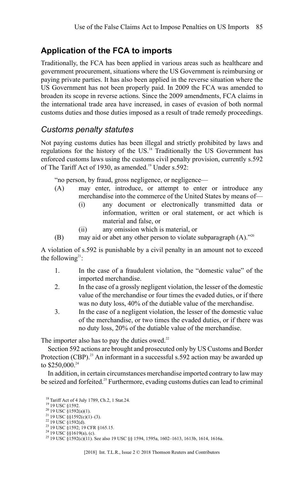## **Application of the FCA to imports**

Traditionally, the FCA has been applied in various areas such as healthcare and government procurement, situations where the US Government is reimbursing or paying private parties. It has also been applied in the reverse situation where the US Government has not been properly paid. In 2009 the FCA was amended to broaden its scope in reverse actions. Since the 2009 amendments, FCA claims in the international trade area have increased, in cases of evasion of both normal customs duties and those duties imposed as a result of trade remedy proceedings.

#### *Customs penalty statutes*

Not paying customs duties has been illegal and strictly prohibited by laws and regulations for the history of the US.<sup>18</sup> Traditionally the US Government has enforced customs laws using the customs civil penalty provision, currently s.592 of The Tariff Act of 1930, as amended.<sup>19</sup> Under s.592:

"no person, by fraud, gross negligence, or negligence—

- (A) may enter, introduce, or attempt to enter or introduce any merchandise into the commerce of the United States by means of—
	- (i) any document or electronically transmitted data or information, written or oral statement, or act which is material and false, or
	- (ii) any omission which is material, or
- (B) may aid or abet any other person to violate subparagraph  $(A)$ ."<sup>20</sup>

A violation of s.592 is punishable by a civil penalty in an amount not to exceed the following<sup>21</sup>:

- 1. In the case of a fraudulent violation, the "domestic value" of the imported merchandise.
- 2. In the case of a grossly negligent violation, the lesser of the domestic value of the merchandise or four times the evaded duties, or if there was no duty loss, 40% of the dutiable value of the merchandise.
- 3. In the case of a negligent violation, the lesser of the domestic value of the merchandise, or two times the evaded duties, or if there was no duty loss, 20% of the dutiable value of the merchandise.

The importer also has to pay the duties owed.<sup>22</sup>

Section 592 actions are brought and prosecuted only by US Customs and Border Protection  $(CBP)$ .<sup>23</sup> An informant in a successful s.592 action may be awarded up to  $$250,000.<sup>24</sup>$ 

In addition, in certain circumstances merchandise imported contrary to law may be seized and forfeited.<sup>25</sup> Furthermore, evading customs duties can lead to criminal

<sup>18</sup> Tariff Act of 4 July 1789, Ch.2, 1 Stat.24. <sup>19</sup> 19 USC §1592.  $^{20}$  19 USC §1592(a)(1).  $^{21}$  19 USC §§1592(c)(1)–(3). <sup>22</sup> 19 USC §1592(d). <sup>23</sup> 19 USC §1592; 19 CFR §165.15.<br><sup>24</sup> 19 USC §§1619(a), (c). <sup>25</sup> 19 USC §1592(c)(11). See also 19 USC §§ 1594, 1595a, 1602–1613, 1613b, 1614, 1616a.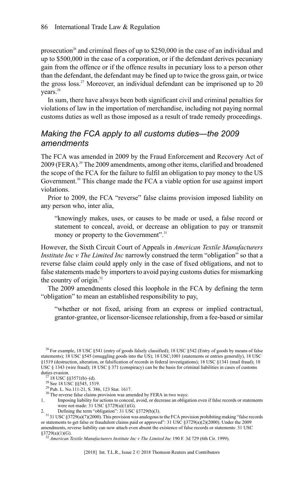prosecution<sup>26</sup> and criminal fines of up to  $$250,000$  in the case of an individual and up to \$500,000 in the case of a corporation, or if the defendant derives pecuniary gain from the offence or if the offence results in pecuniary loss to a person other than the defendant, the defendant may be fined up to twice the gross gain, or twice the gross  $\log_2$ <sup>27</sup> Moreover, an individual defendant can be imprisoned up to 20 years.<sup>28</sup>

In sum, there have always been both significant civil and criminal penalties for violations of law in the importation of merchandise, including not paying normal customs duties as well as those imposed as a result of trade remedy proceedings.

#### *Making the FCA apply to all customs duties—the 2009 amendments*

The FCA was amended in 2009 by the Fraud Enforcement and Recovery Act of 2009 (FERA).<sup>29</sup> The 2009 amendments, among other items, clarified and broadened the scope of the FCA for the failure to fulfil an obligation to pay money to the US Government.<sup>30</sup> This change made the FCA a viable option for use against import violations.

Prior to 2009, the FCA "reverse" false claims provision imposed liability on any person who, inter alia,

"knowingly makes, uses, or causes to be made or used, a false record or statement to conceal, avoid, or decrease an obligation to pay or transmit money or property to the Government".<sup>31</sup>

However, the Sixth Circuit Court of Appeals in *American Textile Manufacturers Institute Inc v The Limited Inc* narrowly construed the term "obligation" so that a reverse false claim could apply only in the case of fixed obligations, and not to false statements made by importers to avoid paying customs duties for mismarking the country of origin. $32$ 

The 2009 amendments closed this loophole in the FCA by defining the term "obligation" to mean an established responsibility to pay,

"whether or not fixed, arising from an express or implied contractual, grantor-grantee, or licensor-licensee relationship, from a fee-based or similar

<sup>&</sup>lt;sup>26</sup> For example, 18 USC  $\S$ 541 (entry of goods falsely classified); 18 USC  $\S$ 542 (Entry of goods by means of false statements); 18 USC §545 (smuggling goods into the US); 18 USC;1001 (statements or entries generally), 18 USC §1519 (destruction, alteration, or falsification of records in federal investigations); 18 USC §1341 (mail fraud); 18 USC § 1343 (wire fraud); 18 USC § 371 (conspiracy) can be the basis for criminal liabilities in cases of customs duties evasion.

 $^{27}$  18 USC §§3571(b)–(d).<br>
28 See 18 USC §§545, 1519.

<sup>29</sup> Pub. L. No.111-21, S. 386, 123 Stat. 1617.

 $\frac{30 \text{ TeV}}{20 \text{ TeV}}$  The reverse false claims provision was amended by FERA in two ways:

<sup>1.</sup> Imposing liability for actions to conceal, avoid, or decrease an obligation even if false records or statements were not made:  $31$  USC  $$3729(a)(1)(G)$ .<br>Defining the term "obligation":  $31$  USC  $$3729(b)(3)$ .

<sup>2.</sup> Defining the term "obligation": 31 USC §3729(b)(3).<br> $31\,31\,$  USC §3729(a)(7)(2000). This provision was analogous to the FCA provision prohibiting making "false records or statements to get false or fraudulent claims paid or approved": 31 USC §3729(a)(2)(2000). Under the 2009 amendments, reverse liability can now attach even absent the existence of false records or statements: 31 USC  $§3729(a)(1)(G)$ .

<sup>32</sup> *American Textile Manufacturers Institute Inc v The Limited Inc* 190 F. 3d 729 (6th Cir. 1999).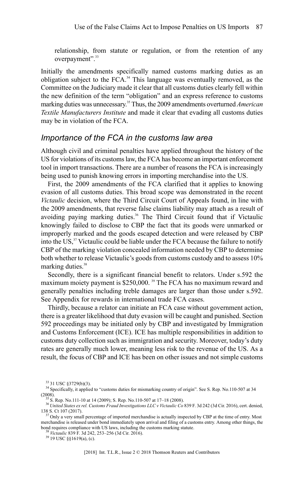relationship, from statute or regulation, or from the retention of any overpayment".<sup>33</sup>

Initially the amendments specifically named customs marking duties as an obligation subject to the FCA. <sup>34</sup> This language was eventually removed, as the Committee on the Judiciary made it clear that all customs duties clearly fell within the new definition of the term "obligation" and an express reference to customs marking duties was unnecessary. <sup>35</sup> Thus, the 2009 amendments overturned *American Textile Manufacturers Institute* and made it clear that evading all customs duties may be in violation of the FCA.

#### *Importance of the FCA in the customs law area*

Although civil and criminal penalties have applied throughout the history of the US for violations of its customs law, the FCA has become an important enforcement tool in import transactions. There are a number of reasons the FCA is increasingly being used to punish knowing errors in importing merchandise into the US.

First, the 2009 amendments of the FCA clarified that it applies to knowing evasion of all customs duties. This broad scope was demonstrated in the recent *Victaulic* decision, where the Third Circuit Court of Appeals found, in line with the 2009 amendments, that reverse false claims liability may attach as a result of avoiding paying marking duties.<sup>36</sup> The Third Circuit found that if Victaulic knowingly failed to disclose to CBP the fact that its goods were unmarked or improperly marked and the goods escaped detection and were released by CBP into the US,<sup>37</sup> Victaulic could be liable under the FCA because the failure to notify CBP of the marking violation concealed information needed by CBP to determine both whether to release Victaulic's goods from customs custody and to assess 10% marking duties.<sup>38</sup>

Secondly, there is a significant financial benefit to relators. Under s.592 the maximum moiety payment is \$250,000.<sup>39</sup> The FCA has no maximum reward and generally penalties including treble damages are larger than those under s.592. See Appendix for rewards in international trade FCA cases.

Thirdly, because a relator can initiate an FCA case without government action, there is a greater likelihood that duty evasion will be caught and punished. Section 592 proceedings may be initiated only by CBP and investigated by Immigration and Customs Enforcement (ICE). ICE has multiple responsibilities in addition to customs duty collection such as immigration and security. Moreover, today's duty rates are generally much lower, meaning less risk to the revenue of the US. As a result, the focus of CBP and ICE has been on other issues and not simple customs

<sup>39</sup> 19 USC §§1619(a), (c).

<sup>33</sup> 31 USC §3729(b)(3).

<sup>&</sup>lt;sup>34</sup> Specifically, it applied to "customs duties for mismarking country of origin". See S. Rep. No.110-507 at 34 (2008).

<sup>35</sup> S. Rep. No.111-10 at 14 (2009); S. Rep. No.110-507 at 17–18 (2008).

<sup>36</sup>*United States ex rel. Customs Fraud Investigations LLC v Victaulic Co* 839 F. 3d 242 (3d Cir. 2016), cert. denied,

<sup>138</sup> S. Ct 107 (2017).<br><sup>37</sup> Only a very small percentage of imported merchandise is actually inspected by CBP at the time of entry. Most merchandise is released under bond immediately upon arrival and filing of a customs entry. Among other things, the bond requires compliance with US laws, including the customs marking statute.

<sup>38</sup> *Victaulic* 839 F. 3d 242, 253–256 (3d Cir. 2016).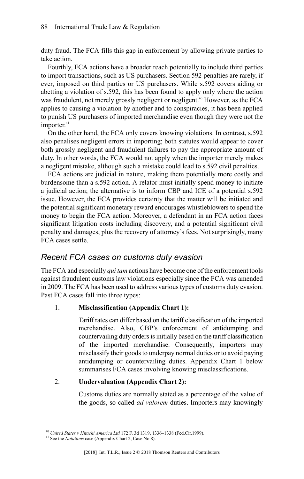duty fraud. The FCA fills this gap in enforcement by allowing private parties to take action.

Fourthly, FCA actions have a broader reach potentially to include third parties to import transactions, such as US purchasers. Section 592 penalties are rarely, if ever, imposed on third parties or US purchasers. While s.592 covers aiding or abetting a violation of s.592, this has been found to apply only where the action was fraudulent, not merely grossly negligent or negligent.<sup>40</sup> However, as the FCA applies to causing a violation by another and to conspiracies, it has been applied to punish US purchasers of imported merchandise even though they were not the importer. 41

On the other hand, the FCA only covers knowing violations. In contrast, s.592 also penalises negligent errors in importing; both statutes would appear to cover both grossly negligent and fraudulent failures to pay the appropriate amount of duty. In other words, the FCA would not apply when the importer merely makes a negligent mistake, although such a mistake could lead to s.592 civil penalties.

FCA actions are judicial in nature, making them potentially more costly and burdensome than a s.592 action. A relator must initially spend money to initiate a judicial action; the alternative is to inform CBP and ICE of a potential s.592 issue. However, the FCA provides certainty that the matter will be initiated and the potential significant monetary reward encourages whistleblowers to spend the money to begin the FCA action. Moreover, a defendant in an FCA action faces significant litigation costs including discovery, and a potential significant civil penalty and damages, plus the recovery of attorney's fees. Not surprisingly, many FCA cases settle.

#### *Recent FCA cases on customs duty evasion*

TheFCA and especially *qui tam* actions have become one of the enforcement tools against fraudulent customs law violations especially since the FCA was amended in 2009. The FCA has been used to address various types of customs duty evasion. Past FCA cases fall into three types:

#### 1. **Misclassification (Appendix Chart 1):**

Tariff rates can differ based on the tariff classification of the imported merchandise. Also, CBP's enforcement of antidumping and countervailing duty ordersisinitially based on the tariff classification of the imported merchandise. Consequently, importers may misclassify their goods to underpay normal duties or to avoid paying antidumping or countervailing duties. Appendix Chart 1 below summarises FCA cases involving knowing misclassifications.

#### 2. **Undervaluation (Appendix Chart 2):**

Customs duties are normally stated as a percentage of the value of the goods, so-called *ad valorem* duties. Importers may knowingly

<sup>40</sup> *United States v Hitachi America Ltd* 172 F. 3d 1319, 1336–1338 (Fed.Cir.1999).

<sup>41</sup> See the *Notations* case (Appendix Chart 2, Case No.8).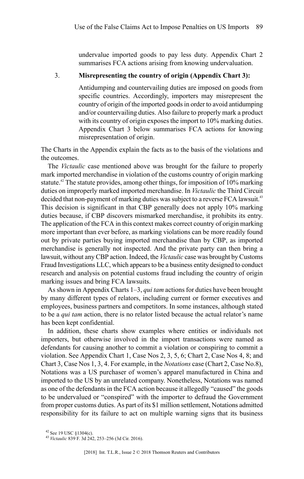undervalue imported goods to pay less duty. Appendix Chart 2 summarises FCA actions arising from knowing undervaluation.

#### 3. **Misrepresenting the country of origin (Appendix Chart 3):**

Antidumping and countervailing duties are imposed on goods from specific countries. Accordingly, importers may misrepresent the country of origin of the imported goods in order to avoid antidumping and/or countervailing duties. Also failure to properly mark a product with its country of origin exposes the import to 10% marking duties. Appendix Chart 3 below summarises FCA actions for knowing misrepresentation of origin.

The Charts in the Appendix explain the facts as to the basis of the violations and the outcomes.

The *Victaulic* case mentioned above was brought for the failure to properly mark imported merchandise in violation of the customs country of origin marking statute.<sup>42</sup> The statute provides, among other things, for imposition of  $10\%$  marking duties on improperly marked imported merchandise. In *Victaulic* the Third Circuit decided that non-payment of marking duties was subject to a reverse FCA lawsuit.<sup>43</sup> This decision is significant in that CBP generally does not apply 10% marking duties because, if CBP discovers mismarked merchandise, it prohibits its entry. The application of the FCA in this context makes correct country of origin marking more important than ever before, as marking violations can be more readily found out by private parties buying imported merchandise than by CBP, as imported merchandise is generally not inspected. And the private party can then bring a lawsuit, without any CBP action. Indeed, the Victaulic case was brought by Customs Fraud Investigations LLC, which appearsto be a business entity designed to conduct research and analysis on potential customs fraud including the country of origin marking issues and bring FCA lawsuits.

Asshown in Appendix Charts 1–3, *qui tam* actionsfor duties have been brought by many different types of relators, including current or former executives and employees, business partners and competitors. In some instances, although stated to be a *qui tam* action, there is no relator listed because the actual relator's name has been kept confidential.

In addition, these charts show examples where entities or individuals not importers, but otherwise involved in the import transactions were named as defendants for causing another to commit a violation or conspiring to commit a violation. See Appendix Chart 1, Case Nos 2, 3, 5, 6; Chart 2, Case Nos 4, 8; and Chart 3, Case Nos 1, 3, 4.For example, in the *Notations* case (Chart 2, Case No.8), Notations was a US purchaser of women's apparel manufactured in China and imported to the US by an unrelated company. Nonetheless, Notations was named as one of the defendants in the FCA action because it allegedly "caused" the goods to be undervalued or "conspired" with the importer to defraud the Government from proper customs duties. As part of its \$1 million settlement, Notations admitted responsibility for its failure to act on multiple warning signs that its business

 $42$  See 19 USC  $81304(c)$ .

<sup>43</sup> *Victaulic* 839 F. 3d 242, 253–256 (3d Cir. 2016).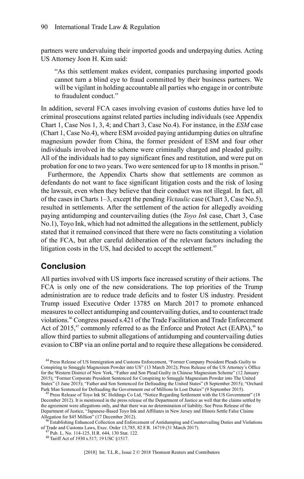partners were undervaluing their imported goods and underpaying duties. Acting US Attorney Joon H. Kim said:

"As this settlement makes evident, companies purchasing imported goods cannot turn a blind eye to fraud committed by their business partners. We will be vigilant in holding accountable all parties who engage in or contribute to fraudulent conduct."

In addition, several FCA cases involving evasion of customs duties have led to criminal prosecutions against related parties including individuals (see Appendix Chart 1, Case Nos 1, 3, 4; and Chart 3, Case No.4). For instance, in the *ESM* case (Chart 1, Case No.4), where ESM avoided paying antidumping duties on ultrafine magnesium powder from China, the former president of ESM and four other individuals involved in the scheme were criminally charged and pleaded guilty. All of the individuals had to pay significant fines and restitution, and were put on probation for one to two years. Two were sentenced for up to 18 months in prison.<sup>44</sup>

Furthermore, the Appendix Charts show that settlements are common as defendants do not want to face significant litigation costs and the risk of losing the lawsuit, even when they believe that their conduct was not illegal. In fact, all of the cases in Charts 1–3, except the pending *Victaulic* case (Chart 3, Case No.5), resulted in settlements. After the settlement of the action for allegedly avoiding paying antidumping and countervailing duties (the *Toyo Ink* case, Chart 3, Case No.1), Toyo Ink, which had not admitted the allegationsin the settlement, publicly stated that it remained convinced that there were no facts constituting a violation of the FCA, but after careful deliberation of the relevant factors including the litigation costs in the US, had decided to accept the settlement.<sup>45</sup>

#### **Conclusion**

All parties involved with US imports face increased scrutiny of their actions. The FCA is only one of the new considerations. The top priorities of the Trump administration are to reduce trade deficits and to foster US industry. President Trump issued Executive Order 13785 on March 2017 to promote enhanced measures to collect antidumping and countervailing duties, and to counteract trade violations.<sup>46</sup> Congress passed s.421 of the Trade Facilitation and Trade Enforcement Act of 2015,<sup>47</sup> commonly referred to as the Enforce and Protect Act (EAPA),<sup>48</sup> to allow third parties to submit allegations of antidumping and countervailing duties evasion to CBP via an online portal and to require these allegations be considered.

<sup>44</sup> Press Release of US Immigration and Customs Enforcement, "Former Company President Pleads Guilty to Conspiring to Smuggle Magnesium Powder into US" (13 March 2012); Press Release of the US Attorney's Office for the Western District of New York, "Father and Son Plead Guilty in Chinese Magnesium Scheme" (12 January 2015); "Former Corporate President Sentenced for Conspiring to Smuggle Magnesium Powder into The United States" (3 June 2015); "Father and Son Sentenced for Defrauding the United States" (8 September 2015); "Orchard Park Man Sentenced for Defrauding the Government out of Millions In Lost Duties" (9 September 2015).

Press Release of Toyo Ink SC Holdings Co Ltd, "Notice Regarding Settlement with the US Government" (18 December 2012). It is mentioned in the press release of the Department of Justice as well that the claims settled by the agreement were allegations only, and that there was no determination of liability. See Press Release of the Department of Justice, "Japanese-Based Toyo Ink and Affiliates in New Jersey and Illinois Settle False Claims Allegation for \$45 Million" (17 December 2012).

<sup>&</sup>lt;sup>46</sup> Establishing Enhanced Collection and Enforcement of Antidumping and Countervailing Duties and Violations of Trade and Customs Laws, Exec. Order 13,785, 82 F.R. 16719 (31 March 2017). <sup>47</sup> Pub. L. No. 114-125, H.R. 644, 130 Stat. 122.

<sup>48</sup> Tariff Act of 1930 s.517; 19 USC §1517.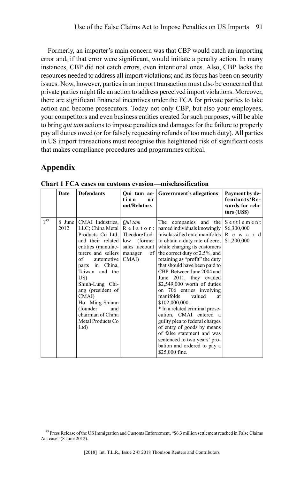Formerly, an importer's main concern was that CBP would catch an importing error and, if that error were significant, would initiate a penalty action. In many instances, CBP did not catch errors, even intentional ones. Also, CBP lacks the resources needed to address all import violations; and its focus has been on security issues. Now, however, parties in an import transaction must also be concerned that private parties might file an action to address perceived import violations. Moreover, there are significant financial incentives under the FCA for private parties to take action and become prosecutors. Today not only CBP, but also your employees, your competitors and even business entities created for such purposes, will be able to bring *qui tam* actions to impose penalties and damages for the failure to properly pay all duties owed (or for falsely requesting refunds of too much duty). All parties in US import transactions must recognise this heightened risk of significant costs that makes compliance procedures and programmes critical.

### **Appendix**

|          | Date           | <b>Defendants</b>                                                                                                                                                                                                                                              | Qui tam ac-<br>tion<br>0r<br>not/Relators | Government's allegations                                                                                                                                                                                                                                                                                                                                                                                                                                                                                                                                                                                                                                                                                                                                                                                     | Payment by de-<br>fendants/Re-<br>wards for rela-<br>tors (US\$) |
|----------|----------------|----------------------------------------------------------------------------------------------------------------------------------------------------------------------------------------------------------------------------------------------------------------|-------------------------------------------|--------------------------------------------------------------------------------------------------------------------------------------------------------------------------------------------------------------------------------------------------------------------------------------------------------------------------------------------------------------------------------------------------------------------------------------------------------------------------------------------------------------------------------------------------------------------------------------------------------------------------------------------------------------------------------------------------------------------------------------------------------------------------------------------------------------|------------------------------------------------------------------|
| $1^{49}$ | 8 June<br>2012 | CMAI Industries, <i>Qui tam</i><br>turers and sellers<br>of<br>automotive  <br>parts in China,<br>Taiwan and the<br>US)<br>Shiuh-Lung Chi-<br>ang (president of<br>CMAI)<br>Ho Ming-Shiann<br>(founder<br>and<br>chairman of China<br>Metal Products Co<br>Ltd | of  <br>manager<br>CMAI                   | The companies and the<br>LLC; China Metal   R e 1 a t o r :   named individuals knowingly<br>Products Co Ltd: Theodore Lud-   misclassified auto manifolds<br>and their related low (former to obtain a duty rate of zero,<br>entities (manufac- sales account while charging its customers<br>the correct duty of 2.5%, and<br>retaining as "profit" the duty<br>that should have been paid to<br>CBP. Between June 2004 and<br>June 2011, they evaded<br>\$2,549,000 worth of duties<br>on 706 entries involving<br>manifolds<br>valued<br>at<br>\$102,000,000.<br>* In a related criminal prose-<br>cution, CMAI entered a<br>guilty plea to federal charges<br>of entry of goods by means<br>of false statement and was<br>sentenced to two years' pro-<br>bation and ordered to pay a<br>\$25,000 fine. | Settlement<br>\$6,300,000<br>R e w a r d<br>\$1,200,000          |

**Chart 1 FCA cases on customs evasion—misclassification**

<sup>&</sup>lt;sup>49</sup> Press Release of the US Immigration and Customs Enforcement, "\$6.3 million settlement reached in False Claims Act case" (8 June 2012).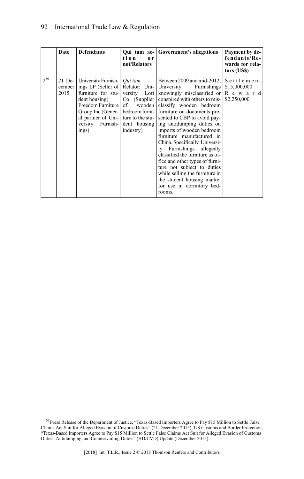|          | Date           | <b>Defendants</b>                                                                                                                                         | tion<br>0 <sub>r</sub><br>not/Relators | Qui tam ac- Government's allegations                                                                                                                                                                                                                                                                                                                                                                                                                                                                                                                                                                                                                                                                                                      | Payment by de-<br>fendants/Re-<br>wards for rela-<br>tors (US\$) |
|----------|----------------|-----------------------------------------------------------------------------------------------------------------------------------------------------------|----------------------------------------|-------------------------------------------------------------------------------------------------------------------------------------------------------------------------------------------------------------------------------------------------------------------------------------------------------------------------------------------------------------------------------------------------------------------------------------------------------------------------------------------------------------------------------------------------------------------------------------------------------------------------------------------------------------------------------------------------------------------------------------------|------------------------------------------------------------------|
| $2^{50}$ | cember<br>2015 | 21 De-   University Furnish-   <i>Qui tam</i><br>dent housing)<br>Freedom Furniture  <br>al partner of Uni- ture to the stu-<br>versity Furnish-<br>ings) | of<br>dent housing<br>industry)        | Between 2009 and mid-2012, Settlement<br>ings LP (Seller of Relator: Uni- University Furnishings<br>furniture for stu- versity Loft knowingly misclassified or $\mathbb{R}$ e w a r d<br>$Co$ (Supplier conspired with others to mis-<br>wooden classify wooden bedroom<br>Group Inc (Gener-   bedroom furni-   furniture on documents pre-<br>sented to CBP to avoid pay-<br>ing antidumping duties on<br>imports of wooden bedroom<br>furniture manufactured in<br>China. Specifically, Universi-<br>ty Furnishings allegedly<br>classified the furniture as of-<br>fice and other types of furni-<br>ture not subject to duties<br>while selling the furniture in<br>the student housing market<br>for use in dormitory bed-<br>rooms. | \$15,000,000<br>\$2,250,000                                      |

<sup>50</sup> Press Release of the Department of Justice, "Texas-Based Importers Agree to Pay \$15 Million to Settle False<br>Claims Act Suit for Alleged Evasion of Customs Duties" (21 December 2015); US Customs and Border Protection,<br>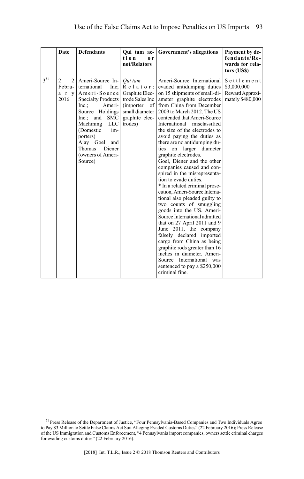|                 | Date                                                        | <b>Defendants</b>                                                                                                                                                                                                                                                        | tion<br>0 <sub>r</sub><br>not/Relators                                                                                                        | Qui tam ac- Government's allegations                                                                                                                                                                                                                                                                                                                                                                                                                                                                                                                                                                                                                                                                                                                                                                                                                                                                                                                                             | Payment by de-<br>fendants/Re-<br>wards for rela-<br>tors (US\$) |
|-----------------|-------------------------------------------------------------|--------------------------------------------------------------------------------------------------------------------------------------------------------------------------------------------------------------------------------------------------------------------------|-----------------------------------------------------------------------------------------------------------------------------------------------|----------------------------------------------------------------------------------------------------------------------------------------------------------------------------------------------------------------------------------------------------------------------------------------------------------------------------------------------------------------------------------------------------------------------------------------------------------------------------------------------------------------------------------------------------------------------------------------------------------------------------------------------------------------------------------------------------------------------------------------------------------------------------------------------------------------------------------------------------------------------------------------------------------------------------------------------------------------------------------|------------------------------------------------------------------|
| 3 <sup>51</sup> | $\overline{2}$<br>$\overline{2}$<br>Febru-<br>a r v<br>2016 | Ameri-Source In-<br>ternational<br>Inc:<br>Ameri-Source<br><b>Specialty Products</b><br>Inc.<br>Ameri-<br>Source Holdings<br>$Inc.:$ and<br>SMC<br>Machining<br>LLC<br>(Domestic<br>im-<br>porters)<br>Ajay Goel and<br>Thomas<br>Diener<br>(owners of Ameri-<br>Source) | Qui tam<br>$R$ elator:<br>Graphite Elec-<br>trode Sales Inc<br>$\sigma$ f<br><i>(importer)</i><br>small diameter<br>graphite elec-<br>trodes) | Ameri-Source International<br>evaded antidumping duties<br>on 15 shipments of small-di-<br>ameter graphite electrodes<br>from China from December<br>2009 to March 2012. The US<br>contended that Ameri-Source<br>International misclassified<br>the size of the electrodes to<br>avoid paying the duties as<br>there are no antidumping du-<br>ties on larger diameter<br>graphite electrodes.<br>Goel, Diener and the other<br>companies caused and con-<br>spired in the misrepresenta-<br>tion to evade duties.<br>* In a related criminal prose-<br>cution, Ameri-Source Interna-<br>tional also pleaded guilty to<br>two counts of smuggling<br>goods into the US. Ameri-<br>Source International admitted<br>that on 27 April 2011 and 9<br>June 2011, the company<br>falsely declared imported<br>cargo from China as being<br>graphite rods greater than 16<br>inches in diameter. Ameri-<br>Source International was<br>sentenced to pay a \$250,000<br>criminal fine. | Settlement<br>\$3,000,000<br>Reward Approxi-<br>mately \$480,000 |

 $51$  Press Release of the Department of Justice, "Four Pennsylvania-Based Companies and Two Individuals Agree to Pay \$3 Million to Settle False Claims Act Suit Alleging Evaded Customs Duties" (22 February 2016); Press Rel for evading customs duties" (22 February 2016).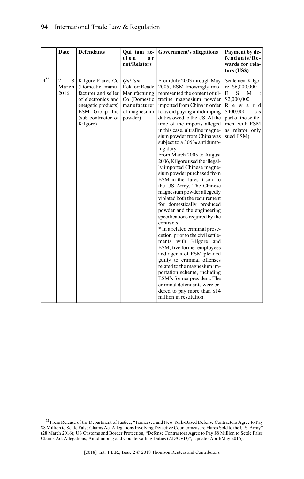|          | Date                                 | <b>Defendants</b>                                                                                                                                           | Qui tam ac-<br>tion<br>0r<br>not/Relators                                                             | <b>Government's allegations</b>                                                                                                                                                                                                                                                                                                                                                                                                                                                                                                                                                                                                                                                                                                                                                                                                                                                                                                                                                                                                                                                                                       | Payment by de-<br>fendants/Re-<br>wards for rela-<br>tors (US\$)                                                                                                                  |
|----------|--------------------------------------|-------------------------------------------------------------------------------------------------------------------------------------------------------------|-------------------------------------------------------------------------------------------------------|-----------------------------------------------------------------------------------------------------------------------------------------------------------------------------------------------------------------------------------------------------------------------------------------------------------------------------------------------------------------------------------------------------------------------------------------------------------------------------------------------------------------------------------------------------------------------------------------------------------------------------------------------------------------------------------------------------------------------------------------------------------------------------------------------------------------------------------------------------------------------------------------------------------------------------------------------------------------------------------------------------------------------------------------------------------------------------------------------------------------------|-----------------------------------------------------------------------------------------------------------------------------------------------------------------------------------|
| $4^{52}$ | $\overline{2}$<br>8<br>March<br>2016 | Kilgore Flares Co<br>(Domestic manu-<br>facturer and seller<br>of electronics and<br>energetic products)<br>ESM Group Inc<br>(sub-contractor of<br>Kilgore) | Oui tam<br>Relator: Reade<br>Manufacturing<br>Co (Domestic<br>manufacturer<br>of magnesium<br>powder) | From July 2003 through May<br>2005, ESM knowingly mis-<br>represented the content of ul-<br>trafine magnesium powder<br>imported from China in order<br>to avoid paying antidumping<br>duties owed to the US. At the<br>time of the imports alleged<br>in this case, ultrafine magne-<br>sium powder from China was<br>subject to a 305% antidump-<br>ing duty.<br>From March 2005 to August<br>2006, Kilgore used the illegal-<br>ly imported Chinese magne-<br>sium powder purchased from<br>ESM in the flares it sold to<br>the US Army. The Chinese<br>magnesium powder allegedly<br>violated both the requirement<br>for domestically produced<br>powder and the engineering<br>specifications required by the<br>contracts.<br>* In a related criminal prose-<br>cution, prior to the civil settle-<br>ments with Kilgore and<br>ESM, five former employees<br>and agents of ESM pleaded<br>guilty to criminal offenses<br>related to the magnesium im-<br>portation scheme, including<br>ESM's former president. The<br>criminal defendants were or-<br>dered to pay more than \$14<br>million in restitution. | Settlement Kilgo-<br>re: \$6,000,000<br>E<br>M<br>S<br>$\pm$<br>\$2,000,000<br>Reward<br>\$400,000<br>(as<br>part of the settle-<br>ment with ESM<br>as relator only<br>sued ESM) |

<sup>52</sup> Press Release of the Department of Justice, "Tennessee and New York-Based Defense Contractors Agree to Pay \$8 Million to Settle False Claims Act Allegations Involving Defective Countermeasure Flares Sold to the U.S. Army'<br>(28 March 2016); US Customs and Border Protection, "Defense Contractors Agree to Pay \$8 Million to Settle F Claims Act Allegations, Antidumping and Countervailing Duties (AD/CVD)", Update (April/May 2016).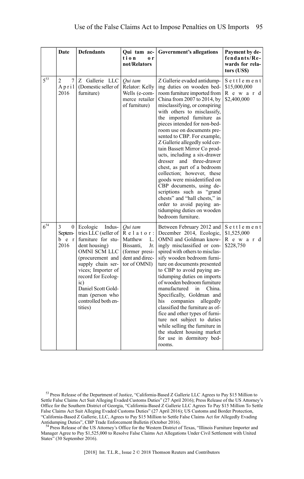|          | Date                                          | <b>Defendants</b>                                                                                                                                                                                                                                                        | Qui tam ac-<br>tion<br>0r<br>not/Relators                                                                     | <b>Government's allegations</b>                                                                                                                                                                                                                                                                                                                                                                                                                                                                                                                                                                                                                                                                                                | Payment by de-<br>fendants/Re-<br>wards for rela-<br>tors (US\$) |
|----------|-----------------------------------------------|--------------------------------------------------------------------------------------------------------------------------------------------------------------------------------------------------------------------------------------------------------------------------|---------------------------------------------------------------------------------------------------------------|--------------------------------------------------------------------------------------------------------------------------------------------------------------------------------------------------------------------------------------------------------------------------------------------------------------------------------------------------------------------------------------------------------------------------------------------------------------------------------------------------------------------------------------------------------------------------------------------------------------------------------------------------------------------------------------------------------------------------------|------------------------------------------------------------------|
| $5^{53}$ | 7<br>2<br>April<br>2016                       | Z Gallerie LLC<br>(Domestic seller of<br>furniture)                                                                                                                                                                                                                      | Oui tam<br>Relator: Kelly<br>Wells (e-com-<br>merce retailer<br>of furniture)                                 | Z Gallerie evaded antidump-<br>ing duties on wooden bed-<br>room furniture imported from<br>China from $2007$ to $2014$ , by<br>misclassifying, or conspiring<br>with others to misclassify,<br>the imported furniture as<br>pieces intended for non-bed-<br>room use on documents pre-<br>sented to CBP. For example,<br>Z Gallerie allegedly sold cer-<br>tain Bassett Mirror Co prod-<br>ucts, including a six-drawer<br>dresser<br>and three-drawer<br>chest, as part of a bedroom<br>collection; however, these<br>goods were misidentified on<br>CBP documents, using de-<br>scriptions such as "grand<br>chests" and "hall chests," in<br>order to avoid paying an-<br>tidumping duties on wooden<br>bedroom furniture. | Settlement<br>\$15,000,000<br>Reward<br>\$2,400,000              |
| $6^{54}$ | 3<br>$\mathbf{0}$<br>Septem-<br>b e r<br>2016 | Ecologic<br>Indus-<br>tries LLC (seller of<br>furniture for stu-<br>dent housing)<br>OMNI SCM LLC<br>(procurement and<br>supply chain ser-<br>vices; Importer of<br>record for Ecolog-<br>ic)<br>Daniel Scott Gold-<br>man (person who<br>controlled both en-<br>tities) | Oui tam<br>Relator:<br>Matthew<br>L.<br>Bissanti,<br>Jr.<br>(former presi-<br>dent and direc-<br>tor of OMNI) | Between February 2012 and<br>December 2014, Ecologic,<br>OMNI and Goldman know-<br>ingly misclassified or con-<br>spired with others to misclas-<br>sify wooden bedroom furni-<br>ture on documents presented<br>to CBP to avoid paying an-<br>tidumping duties on imports<br>of wooden bedroom furniture<br>manufactured<br>in<br>China.<br>Specifically, Goldman and<br>his companies<br>allegedly<br>classified the furniture as of-<br>fice and other types of furni-<br>ture not subject to duties<br>while selling the furniture in<br>the student housing market<br>for use in dormitory bed-<br>rooms.                                                                                                                 | Settlement<br>\$1,525,000<br>Reward<br>\$228,750                 |

<sup>53</sup> Press Release of the Department of Justice, "California-Based Z Gallerie LLC Agrees to Pay \$15 Million to Settle False Claims Act Suit Alleging Evaded Customs Duties" (27 April 2016); Press Release of the US Attorney's Office for the Southern District of Georgia, "California-Based Z Gallerie LLC Agrees To Pay \$15 Million To Settle False Claims Act Suit Alleging Evaded Customs Duties" (27 April 2016); US Customs and Border Protection, "California-Based Z Gallerie, LLC, Agrees to Pay \$15 Million to Settle False Claims Act for Allegedly Evading Antidumping Duties", CBP Trade Enforcement Bulletin (October 2016).

<sup>4</sup> Press Release of the US Attorney's Office for the Western District of Texas, "Illinois Furniture Importer and Manager Agree to Pay \$1,525,000 to Resolve False Claims Act Allegations Under Civil Settlement with United States" (30 September 2016).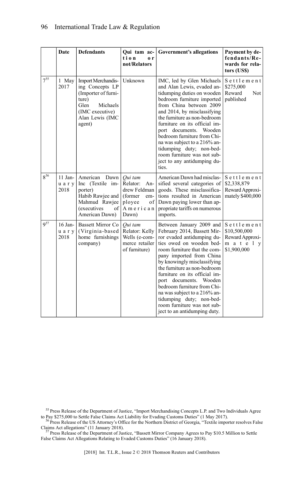|                 | Date                         | <b>Defendants</b>                                                                                                                                | Qui tam ac-<br>tion<br>o r<br>not/Relators                                                         | <b>Government's allegations</b>                                                                                                                                                                                                                                                                                                                                                                                                                                   | Payment by de-<br>fendants/Re-<br>wards for rela-<br>tors (US\$)       |
|-----------------|------------------------------|--------------------------------------------------------------------------------------------------------------------------------------------------|----------------------------------------------------------------------------------------------------|-------------------------------------------------------------------------------------------------------------------------------------------------------------------------------------------------------------------------------------------------------------------------------------------------------------------------------------------------------------------------------------------------------------------------------------------------------------------|------------------------------------------------------------------------|
| $7^{55}$        | 1 May<br>2017                | <b>Import Merchandis-</b><br>ing Concepts LP<br>(Importer of furni-<br>ture)<br>Glen<br>Michaels<br>(IMC executive)<br>Alan Lewis (IMC<br>agent) | Unknown                                                                                            | IMC, led by Glen Michaels<br>and Alan Lewis, evaded an-<br>tidumping duties on wooden<br>bedroom furniture imported<br>from China between 2009<br>and 2014, by misclassifying<br>the furniture as non-bedroom<br>furniture on its official im-<br>port documents. Wooden<br>bedroom furniture from Chi-<br>na was subject to a 216% an-<br>tidumping duty; non-bed-<br>room furniture was not sub-<br>ject to any antidumping du-<br>ties.                        | Settlement<br>\$275,000<br>Reward<br>Not<br>published                  |
| $8^{56}$        | $11$ Jan-<br>uary<br>2018    | American<br>Dawn<br>Inc (Textile im-<br>porter)<br>Habib Rawjee and<br>Mahmud Rawjee<br>(executives<br>of<br>American Dawn)                      | Oui tam<br>Relator:<br>An-<br>drew Feldman<br>(former)<br>em-<br>ployee<br>of<br>American<br>Dawn) | American Dawn had misclas-<br>sified several categories of<br>goods. These misclassifica-<br>tions resulted in American<br>Dawn paying lower than ap-<br>propriate tariffs on numerous<br>imports.                                                                                                                                                                                                                                                                | Settlement<br>\$2,338,879<br>Reward Approxi-<br>mately \$400,000       |
| 9 <sup>57</sup> | $16$ Jan-<br>u a r y<br>2018 | <b>Bassett Mirror Co</b><br>(Virginia-based)<br>home furnishings<br>company)                                                                     | Qui tam<br>Relator: Kelly<br>Wells (e-com-<br>merce retailer<br>of furniture)                      | Between January 2009 and<br>February 2014, Bassett Mir-<br>ror evaded antidumping du-<br>ties owed on wooden bed-<br>room furniture that the com-<br>pany imported from China<br>by knowingly misclassifying<br>the furniture as non-bedroom<br>furniture on its official im-<br>port documents. Wooden<br>bedroom furniture from Chi-<br>na was subject to a 216% an-<br>tidumping duty; non-bed-<br>room furniture was not sub-<br>ject to an antidumping duty. | Settlement<br>\$10,500,000<br>Reward Approxi-<br>mately<br>\$1,900,000 |

<sup>55</sup> Press Release of the Department of Justice, "Import Merchandising Concepts L.P. and Two Individuals Agree to Pay \$275,000 to Settle False Claims Act Liability for Evading Customs Duties" (1 May 2017).

<sup>56</sup> Press Release of the US Attorney's Office for the Northern District of Georgia, "Textile importer resolves False<br>Claims Act allegations" (11 January 2018).<br><sup>57</sup> Press Release of the Department of Justice, "Bassett Mi

False Claims Act Allegations Relating to Evaded Customs Duties" (16 January 2018).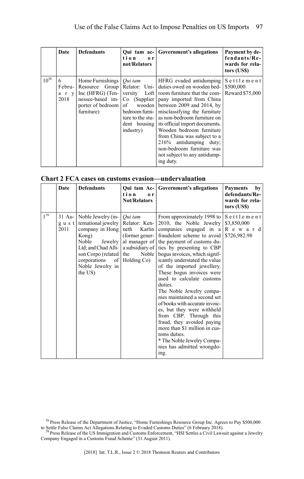|           | Date                         | <b>Defendants</b>                                                                                                 | Qui tam ac-<br>tion<br>$\mathbf{0}$ r<br>not/Relators       | <b>Government's allegations</b>                                                                                                                                                                                                                                                                                                                                                                                                                                                              | Payment by de-<br>fendants/Re-<br>wards for rela-<br>tors (US\$) |
|-----------|------------------------------|-------------------------------------------------------------------------------------------------------------------|-------------------------------------------------------------|----------------------------------------------------------------------------------------------------------------------------------------------------------------------------------------------------------------------------------------------------------------------------------------------------------------------------------------------------------------------------------------------------------------------------------------------------------------------------------------------|------------------------------------------------------------------|
| $10^{58}$ | 6<br>Febru-<br>a r v<br>2018 | Home Furnishings $\int$ <i>Qui tam</i><br>nessee-based im-   Co (Supplier  <br>porter of bedroom of<br>furniture) | wooden  <br>bedroom furni-<br>ture to the stu-<br>industry) | HFRG evaded antidumping<br>Resource Group   Relator: Uni-   duties owed on wooden bed-<br>Inc (HFRG) (Ten- versity Loft   room furniture that the com-<br>pany imported from China<br>between 2009 and 2014, by<br>misclassifying the furniture<br>as non-bedroom furniture on<br>dent housing its official import documents.<br>Wooden bedroom furniture<br>from China was subject to a<br>216% antidumping duty;<br>non-bedroom furniture was<br>not subject to any antidump-<br>ing duty. | Settlement<br>\$500,000<br>Reward \$75,000                       |

| Chart 2 FCA cases on customs evasion—undervaluation |  |
|-----------------------------------------------------|--|
|-----------------------------------------------------|--|

|                 | Date         | <b>Defendants</b>                                                                                                                                                                                  | tion<br>0 <sub>r</sub><br><b>Not/Relators</b>                                                                 | Qui tam Ac- Government's allegations                                                                                                                                                                                                                                                                                                                                                                                                                                                                                                                                                                                                                                                                                                    | <b>Payments</b><br>by<br>defendants/Re-<br>wards for rela-<br>tors (US\$) |
|-----------------|--------------|----------------------------------------------------------------------------------------------------------------------------------------------------------------------------------------------------|---------------------------------------------------------------------------------------------------------------|-----------------------------------------------------------------------------------------------------------------------------------------------------------------------------------------------------------------------------------------------------------------------------------------------------------------------------------------------------------------------------------------------------------------------------------------------------------------------------------------------------------------------------------------------------------------------------------------------------------------------------------------------------------------------------------------------------------------------------------------|---------------------------------------------------------------------------|
| 1 <sup>59</sup> | gust<br>2011 | 31 Au-   Noble Jewelry (in-<br>ternational jewelry<br>company in Hong<br>Kong)<br>Noble<br>Jewelry<br>Ltd; and Chad Alli-<br>son Corpo (related the<br>corporations<br>Noble Jewelry in<br>the US) | Oui tam<br>Relator: Ken-<br>neth<br>Karlin<br>(former gener-<br>al manager of<br>Noble  <br>of Holding $Co$ ) | From approximately 1998 to $\vert S \vert$ et t l e m e n t<br>2010, the Noble Jewelry \\$3,850,000<br>companies engaged in $a \mid R$ e w a r d<br>fraudulent scheme to avoid<br>the payment of customs du-<br>a subsidiary of ties by presenting to CBP<br>bogus invoices, which signif-<br>icantly understated the value<br>of the imported jewellery.<br>These bogus invoices were<br>used to calculate customs<br>duties.<br>The Noble Jewelry compa-<br>nies maintained a second set<br>of books with accurate invoic-<br>es, but they were withheld<br>from CBP. Through this<br>fraud, they avoided paying<br>more than \$1 million in cus-<br>toms duties.<br>* The Noble Jewelry Compa-<br>nies has admitted wrongdo-<br>ing. | \$726,982.98                                                              |

<sup>&</sup>lt;sup>58</sup> Press Release of the Department of Justice, "Home Furnishings Resource Group Inc. Agrees to Pay \$500,000 to Settle False Claims Act Allegations Relating to Evaded Customs Duties" (6 February 2018).<br><sup>59</sup> Press Release

Company Engaged in a Customs Fraud Scheme" (31 August 2011).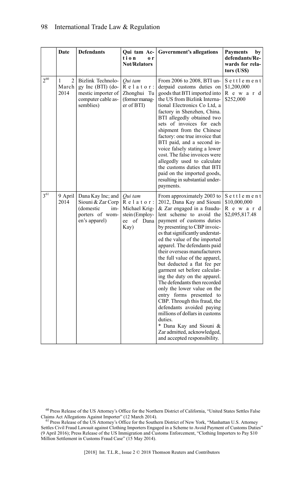|          | Date                                 | <b>Defendants</b>                                                                                 | Qui tam Ac-<br>tion<br>0r<br><b>Not/Relators</b>                                | <b>Government's allegations</b>                                                                                                                                                                                                                                                                                                                                                                                                                                                                                                                                                                                                                                                                                                                    | <b>Payments</b><br>by<br>defendants/Re-<br>wards for rela-<br>tors (US\$) |
|----------|--------------------------------------|---------------------------------------------------------------------------------------------------|---------------------------------------------------------------------------------|----------------------------------------------------------------------------------------------------------------------------------------------------------------------------------------------------------------------------------------------------------------------------------------------------------------------------------------------------------------------------------------------------------------------------------------------------------------------------------------------------------------------------------------------------------------------------------------------------------------------------------------------------------------------------------------------------------------------------------------------------|---------------------------------------------------------------------------|
| $2^{60}$ | $\overline{2}$<br>1<br>March<br>2014 | Bizlink Technolo-<br>gy Inc $(BTI)$ (do-<br>mestic importer of<br>computer cable as-<br>semblies) | Qui tam<br>$R$ elator:<br>Zhonghui Tu<br>(former manag-<br>er of BTI)           | From 2006 to 2008, BTI un-<br>derpaid customs duties on<br>goods that BTI imported into<br>the US from Bizlink Interna-<br>tional Electronics Co Ltd, a<br>factory in Shenzhen, China.<br>BTI allegedly obtained two<br>sets of invoices for each<br>shipment from the Chinese<br>factory: one true invoice that<br>BTI paid, and a second in-<br>voice falsely stating a lower<br>cost. The false invoices were<br>allegedly used to calculate<br>the customs duties that BTI<br>paid on the imported goods,<br>resulting in substantial under-<br>payments.                                                                                                                                                                                      | Settlement<br>\$1,200,000<br>Reward<br>\$252,000                          |
| $3^{61}$ | 9 April<br>2014                      | Dana Kay Inc; and<br>Siouni & Zar Corp<br>(domestic<br>im-<br>porters of wom-<br>en's apparel)    | Oui tam<br>$R$ elator:<br>Michael Krig-<br>stein (Employ-<br>ee of Dana<br>Kay) | From approximately 2003 to<br>2012, Dana Kay and Siouni<br>& Zar engaged in a fraudu-<br>lent scheme to avoid the<br>payment of customs duties<br>by presenting to CBP invoic-<br>es that significantly understat-<br>ed the value of the imported<br>apparel. The defendants paid<br>their overseas manufacturers<br>the full value of the apparel,<br>but deducted a flat fee per<br>garment set before calculat-<br>ing the duty on the apparel.<br>The defendants then recorded<br>only the lower value on the<br>entry forms presented to<br>CBP. Through this fraud, the<br>defendants avoided paying<br>millions of dollars in customs<br>duties.<br>* Dana Kay and Siouni &<br>Zar admitted, acknowledged,<br>and accepted responsibility. | Settlement<br>\$10,000,000<br>R e w a r d<br>\$2,095,817.48               |

 $^{60}$  Press Release of the US Attorney's Office for the Northern District of California, "United States Settles False Claims Act Allegations Against Importer" (12 March 2014).

<sup>61</sup> Press Release of the US Attorney's Office for the Southern District of New York, "Manhattan U.S. Attorney" Settles Civil Fraud Lawsuit against Clothing Importers Engaged in a Scheme to Avoid Payment of Customs Duties" (9 April 2016); Press Release of the US Immigration and Customs Enforcement, "Clothing Importers to Pay \$10 Million Settlement in Customs Fraud Case" (15 May 2014).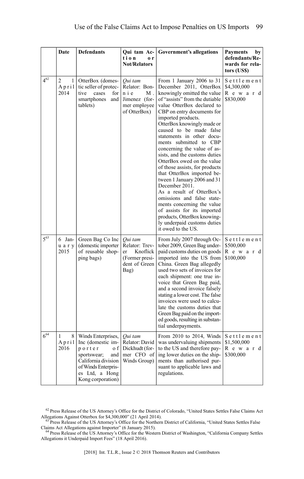|          | Date                                 | <b>Defendants</b>                                                                                                                                                   | Qui tam Ac-<br>tion<br>0r<br><b>Not/Relators</b>                                       | <b>Government's allegations</b>                                                                                                                                                                                                                                                                                                                                                                                                                                                                                                                                                                                                                                                                                                                    | <b>Payments</b><br>by<br>defendants/Re-<br>wards for rela-<br>tors (US\$) |
|----------|--------------------------------------|---------------------------------------------------------------------------------------------------------------------------------------------------------------------|----------------------------------------------------------------------------------------|----------------------------------------------------------------------------------------------------------------------------------------------------------------------------------------------------------------------------------------------------------------------------------------------------------------------------------------------------------------------------------------------------------------------------------------------------------------------------------------------------------------------------------------------------------------------------------------------------------------------------------------------------------------------------------------------------------------------------------------------------|---------------------------------------------------------------------------|
| $4^{62}$ | $\overline{c}$<br>1<br>April<br>2014 | OtterBox (domes-<br>tic seller of protec-<br>tive<br>cases<br>for<br>smartphones<br>and<br>tablets)                                                                 | Qui tam<br>Relator: Bon-<br>nie<br>Μ.<br>Jimenez (for-<br>mer employee<br>of OtterBox) | From 1 January 2006 to 31<br>December 2011, OtterBox<br>knowingly omitted the value<br>of "assists" from the dutiable<br>value OtterBox declared to<br>CBP on entry documents for<br>imported products.<br>OtterBox knowingly made or<br>caused to be made false<br>statements in other docu-<br>ments submitted to CBP<br>concerning the value of as-<br>sists, and the customs duties<br>OtterBox owed on the value<br>of those assists, for products<br>that OtterBox imported be-<br>tween 1 January 2006 and 31<br>December 2011.<br>As a result of OtterBox's<br>omissions and false state-<br>ments concerning the value<br>of assists for its imported<br>products, OtterBox knowing-<br>ly underpaid customs duties<br>it owed to the US. | Settlement<br>\$4,300,000<br>Reward<br>\$830,000                          |
| $5^{63}$ | 6 Jan-<br>u a r y<br>2015            | Green Bag Co Inc<br>(domestic importer<br>of reusable shop-<br>ping bags)                                                                                           | Oui tam<br>Relator: Trev-<br>Knoflick<br>er<br>(Former presi-<br>dent of Green<br>Bag) | From July 2007 through Oc-<br>tober 2009, Green Bag under-<br>paid customs duties on goods<br>imported into the US from<br>China. Green Bag allegedly<br>used two sets of invoices for<br>each shipment: one true in-<br>voice that Green Bag paid,<br>and a second invoice falsely<br>stating a lower cost. The false<br>invoices were used to calcu-<br>late the customs duties that<br>Green Bag paid on the import-<br>ed goods, resulting in substan-<br>tial underpayments.                                                                                                                                                                                                                                                                  | Settlement<br>\$500,000<br>R e w a r d<br>\$100,000                       |
| $6^{64}$ | 8<br>1<br>April<br>2016              | Winds Enterprises,<br>Inc (domestic im-<br>porter<br>o f<br>sportswear;<br>and<br>California division<br>of Winds Enterpris-<br>es Ltd, a Hong<br>Kong corporation) | Qui tam<br>Relator: David<br>Dickhudt (for-<br>mer CFO of<br>Winds Group)              | From 2010 to 2014, Winds<br>was undervaluing shipments<br>to the US and therefore pay-<br>ing lower duties on the ship-<br>ments than authorised pur-<br>suant to applicable laws and<br>regulations.                                                                                                                                                                                                                                                                                                                                                                                                                                                                                                                                              | Settlement<br>\$1,500,000<br>Reward<br>\$300,000                          |

 $62$  Press Release of the US Attorney's Office for the District of Colorado, "United States Settles False Claims Act Allegations Against Otterbox for \$4,300,000" (21 April 2014).

<sup>&</sup>lt;sup>63</sup> Press Release of the US Attorney's Office for the Northern District of California, "United States Settles False

Claims Act Allegations against Importer" (6 January 2015). <sup>64</sup> Press Release of the US Attorney's Office for the Western District of Washington, "California Company Settles Allegations it Underpaid Import Fees" (18 April 2016).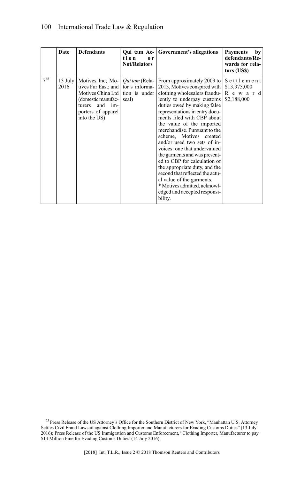#### 100 International Trade Law & Regulation

|          | Date            | <b>Defendants</b>                                                                                                                                  | tion<br>o r<br><b>Not/Relators</b>                                | Qui tam Ac- Government's allegations                                                                                                                                                                                                                                                                                                                                                                                                                                                                                                                                                                                        | <b>Payments</b><br>by<br>defendants/Re-<br>wards for rela-<br>tors (US\$) |
|----------|-----------------|----------------------------------------------------------------------------------------------------------------------------------------------------|-------------------------------------------------------------------|-----------------------------------------------------------------------------------------------------------------------------------------------------------------------------------------------------------------------------------------------------------------------------------------------------------------------------------------------------------------------------------------------------------------------------------------------------------------------------------------------------------------------------------------------------------------------------------------------------------------------------|---------------------------------------------------------------------------|
| $7^{65}$ | 13 July<br>2016 | Motives Inc; Mo-<br>tives Far East; and<br>Motives China Ltd  <br>(domestic manufac-<br>and<br>im-<br>turers<br>porters of apparel<br>into the US) | <i>Oui tam</i> (Rela-<br>tor's informa-<br>tion is under<br>seal) | From approximately 2009 to<br>2013, Motives conspired with<br>clothing wholesalers fraudu-<br>lently to underpay customs<br>duties owed by making false<br>representations in entry docu-<br>ments filed with CBP about<br>the value of the imported<br>merchandise. Pursuant to the<br>scheme, Motives created<br>and/or used two sets of in-<br>voices: one that undervalued<br>the garments and was present-<br>ed to CBP for calculation of<br>the appropriate duty, and the<br>second that reflected the actu-<br>al value of the garments.<br>* Motives admitted, acknowl-<br>edged and accepted responsi-<br>bility. | Settlement<br>\$13,375,000<br>R e w a r d<br>\$2,188,000                  |

<sup>65</sup> Press Release of the US Attorney's Office for the Southern District of New York, "Manhattan U.S. Attorney<br>Settles Civil Fraud Lawsuit against Clothing Importer and Manufacturers for Evading Customs Duties" (13 July 2016); Press Release of the US Immigration and Customs Enforcement, "Clothing Importer, Manufacturer to pay \$13 Million Fine for Evading Customs Duties"(14 July 2016).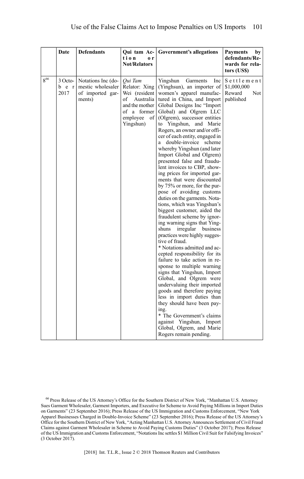|     | Date                     | <b>Defendants</b>                                                     | Qui tam Ac-<br>tion<br>o r<br><b>Not/Relators</b>                                                                              | <b>Government's allegations</b>                                                                                                                                                                                                                                                                                                                                                                                                                                                                                                                                                                                                                                                                                                                                                                                                                                                                                                                                                                                                                                                                                                                                                                                                                                                             | <b>Payments</b><br>by<br>defendants/Re-<br>wards for rela-<br>tors (US\$) |
|-----|--------------------------|-----------------------------------------------------------------------|--------------------------------------------------------------------------------------------------------------------------------|---------------------------------------------------------------------------------------------------------------------------------------------------------------------------------------------------------------------------------------------------------------------------------------------------------------------------------------------------------------------------------------------------------------------------------------------------------------------------------------------------------------------------------------------------------------------------------------------------------------------------------------------------------------------------------------------------------------------------------------------------------------------------------------------------------------------------------------------------------------------------------------------------------------------------------------------------------------------------------------------------------------------------------------------------------------------------------------------------------------------------------------------------------------------------------------------------------------------------------------------------------------------------------------------|---------------------------------------------------------------------------|
| 866 | 3 Octo-<br>b e r<br>2017 | Notations Inc (do-<br>mestic wholesaler<br>of imported gar-<br>ments) | Oui Tam<br>Relator: Xing<br>Wei (resident<br>of<br>Australia<br>and the mother<br>of a former<br>employee<br>of  <br>Yingshun) | Yingshun<br>Garments<br>Inc<br>(Yinghsun), an importer of<br>women's apparel manufac-<br>tured in China, and Import<br>Global Designs Inc "Import<br>Global) and Olgrem LLC<br>(Olgrem), successor entities<br>to Yingshun, and Marie<br>Rogers, an owner and/or offi-<br>cer of each entity, engaged in<br>double-invoice<br>scheme<br>a<br>whereby Yingshun (and later<br>Import Global and Olgrem)<br>presented false and fraudu-<br>lent invoices to CBP, show-<br>ing prices for imported gar-<br>ments that were discounted<br>by 75% or more, for the pur-<br>pose of avoiding customs<br>duties on the garments. Nota-<br>tions, which was Yingshun's<br>biggest customer, aided the<br>fraudulent scheme by ignor-<br>ing warning signs that Ying-<br>shuns<br>irregular<br>business<br>practices were highly sugges-<br>tive of fraud.<br>* Notations admitted and ac-<br>cepted responsibility for its<br>failure to take action in re-<br>sponse to multiple warning<br>signs that Yingshun, Import<br>Global, and Olgrem were<br>undervaluing their imported<br>goods and therefore paying<br>less in import duties than<br>they should have been pay-<br>ing.<br>* The Government's claims<br>against Yingshun, Import<br>Global, Olgrem, and Marie<br>Rogers remain pending. | Settlement<br>\$1,000,000<br>Reward<br><b>Not</b><br>published            |

[2018] Int. T.L.R., Issue 2 © 2018 Thomson Reuters and Contributors

<sup>66</sup> Press Release of the US Attorney's Office for the Southern District of New York, "Manhattan U.S. Attorney Sues Garment Wholesaler, Garment Importers, and Executive for Scheme to Avoid Paying Millions in Import Duties on Garments" (23 September 2016); Press Release of the US Immigration and Customs Enforcement, "New York Apparel Businesses Charged in Double-Invoice Scheme" (23 September 2016); Press Release of the US Attorney's Office for the Southern District of New York, "Acting Manhattan U.S. Attorney Announces Settlement of Civil Fraud Claims against Garment Wholesaler in Scheme to Avoid Paying Customs Duties" (3 October 2017); Press Release of the US Immigration and Customs Enforcement, "NotationsInc settles \$1 Million Civil Suit for Falsifying Invoices" (3 October 2017).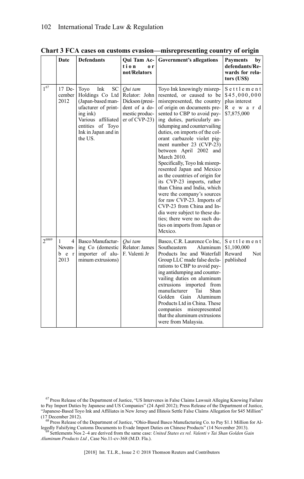|            | Date                               | <b>Defendants</b>                                                                                                                                                          | Qui Tam Ac-<br>tion<br>0r<br>not/Relators                                                        | Government's allegations                                                                                                                                                                                                                                                                                                                                                                                                                                                                                                                                                                                                                                                                                                      | <b>Payments</b><br>by<br>defendants/Re-<br>wards for rela-<br>tors (US\$) |
|------------|------------------------------------|----------------------------------------------------------------------------------------------------------------------------------------------------------------------------|--------------------------------------------------------------------------------------------------|-------------------------------------------------------------------------------------------------------------------------------------------------------------------------------------------------------------------------------------------------------------------------------------------------------------------------------------------------------------------------------------------------------------------------------------------------------------------------------------------------------------------------------------------------------------------------------------------------------------------------------------------------------------------------------------------------------------------------------|---------------------------------------------------------------------------|
| $1^{67}$   | 17 De-<br>cember<br>2012           | Ink<br>SC<br>Toyo<br>Holdings Co Ltd<br>(Japan-based man-<br>ufacturer of print-<br>$ing$ ink)<br>Various affiliated<br>entities of Toyo<br>Ink in Japan and in<br>the US. | Oui tam<br>Relator: John<br>Dickson (presi-<br>dent of a do-<br>mestic produc-<br>$er of CVP-23$ | Toyo Ink knowingly misrep-<br>resented, or caused to be<br>misrepresented, the country<br>of origin on documents pre-<br>sented to CBP to avoid pay-<br>ing duties, particularly an-<br>tidumping and countervailing<br>duties, on imports of the col-<br>orant carbazole violet pig-<br>ment number 23 (CVP-23)<br>between April 2002 and<br>March 2010.<br>Specifically, Toyo Ink misrep-<br>resented Japan and Mexico<br>as the countries of origin for<br>its CVP-23 imports, rather<br>than China and India, which<br>were the company's sources<br>for raw CVP-23. Imports of<br>CVP-23 from China and In-<br>dia were subject to these du-<br>ties; there were no such du-<br>ties on imports from Japan or<br>Mexico. | Settlement<br>\$45,000,000<br>plus interest<br>R e w a r d<br>\$7,875,000 |
| $2^{6869}$ | 4 <br>1<br>Novem-<br>b e r<br>2013 | Basco Manufactur-<br>ing Co (domestic<br>importer of alu-<br>minum extrusions)                                                                                             | Oui tam<br>Relator: James<br>F. Valenti Jr                                                       | Basco, C.R. Laurence Co Inc,<br>Southeastern<br>Aluminum<br>Products Inc and Waterfall<br>Group LLC made false decla-<br>rations to CBP to avoid pay-<br>ing antidumping and counter-<br>vailing duties on aluminum<br>extrusions imported from<br>Shan<br>manufacturer<br>Tai<br>Golden<br>Gain<br>Aluminum<br>Products Ltd in China. These<br>companies misrepresented<br>that the aluminum extrusions<br>were from Malaysia.                                                                                                                                                                                                                                                                                               | Settlement<br>\$1,100,000<br>Reward<br><b>Not</b><br>published            |

**Chart 3 FCA cases on customs evasion—misrepresenting country of origin**

<sup>67</sup> Press Release of the Department of Justice, "US Intervenes in False Claims Lawsuit Alleging Knowing Failure to Pay Import Duties by Japanese and US Companies" (24 April 2012); Press Release of the Department of Justice, "Japanese-Based Toyo Ink and Affiliates in New Jersey and Illinois Settle False Claims Allegation for \$45 Million" (17 December 2012).

<sup>68</sup> Press Release of the Department of Justice, "Ohio-Based Basco Manufacturing Co. to Pay \$1.1 Million for Al-

legedly Falsifying Customs Documents to Evade Import Duties on Chinese Products" (14 November 2013).<br><sup>69</sup> Settlements Nos 2–4 are derived from the same case: *United States ex rel. Valenti v Tai Shan Golden Gain Aluminum Products Ltd* , Case No.11-cv-368 (M.D. Fla.).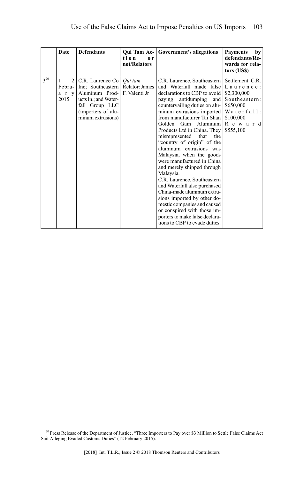|          | Date                    | <b>Defendants</b>                                                                                                                                                            | Qui Tam Ac-<br>tion<br>0 <sub>r</sub><br>not/Relators | Government's allegations                                                                                                                                                                                                                                                                                                                                                                                                                                                                                                                                                                                                                                                                                                                                  | <b>Payments</b><br>by<br>defendants/Re-<br>wards for rela-<br>tors (US\$)                                      |
|----------|-------------------------|------------------------------------------------------------------------------------------------------------------------------------------------------------------------------|-------------------------------------------------------|-----------------------------------------------------------------------------------------------------------------------------------------------------------------------------------------------------------------------------------------------------------------------------------------------------------------------------------------------------------------------------------------------------------------------------------------------------------------------------------------------------------------------------------------------------------------------------------------------------------------------------------------------------------------------------------------------------------------------------------------------------------|----------------------------------------------------------------------------------------------------------------|
| $3^{70}$ | 2<br>1<br>a r v<br>2015 | C.R. Laurence Co   Oui tam<br>Febru- Inc: Southeastern Relator: James<br>Aluminum Prod-<br>ucts In.; and Water-<br>fall Group LLC<br>(importers of alu-<br>minum extrusions) | F. Valenti Jr                                         | C.R. Laurence, Southeastern  <br>and Waterfall made false   L a u r e n c e :<br>declarations to CBP to avoid<br>paying antidumping<br>and<br>countervailing duties on alu-<br>minum extrusions imported<br>from manufacturer Tai Shan<br>Golden<br>Gain Aluminum<br>Products Ltd in China. They<br>misrepresented that<br>the<br>"country of origin" of the<br>aluminum extrusions was<br>Malaysia, when the goods<br>were manufactured in China<br>and merely shipped through<br>Malaysia.<br>C.R. Laurence, Southeastern<br>and Waterfall also purchased<br>China-made aluminum extru-<br>sions imported by other do-<br>mestic companies and caused<br>or conspired with those im-<br>porters to make false declara-<br>tions to CBP to evade duties. | Settlement C.R.<br>\$2,300,000<br>Southeastern:<br>\$650,000<br>Waterfall:<br>\$100,000<br>Reward<br>\$555,100 |

<sup>70</sup> Press Release of the Department of Justice, "Three Importers to Pay over \$3 Million to Settle False Claims Act Suit Alleging Evaded Customs Duties" (12 February 2015).